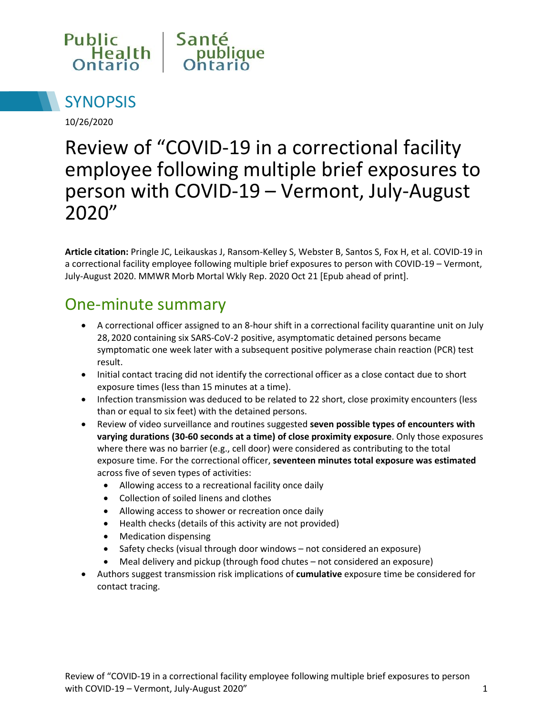



10/26/2020

# Review of "COVID-19 in a correctional facility employee following multiple brief exposures to person with COVID-19 – Vermont, July-August 2020"

**Article citation:** Pringle JC, Leikauskas J, Ransom-Kelley S, Webster B, Santos S, Fox H, et al. COVID-19 in a correctional facility employee following multiple brief exposures to person with COVID-19 – Vermont, July-August 2020. MMWR Morb Mortal Wkly Rep. 2020 Oct 21 [Epub ahead of print].

#### One-minute summary

- A correctional officer assigned to an 8-hour shift in a correctional facility quarantine unit on July 28, 2020 containing six SARS-CoV-2 positive, asymptomatic detained persons became symptomatic one week later with a subsequent positive polymerase chain reaction (PCR) test result.
- Initial contact tracing did not identify the correctional officer as a close contact due to short exposure times (less than 15 minutes at a time).
- Infection transmission was deduced to be related to 22 short, close proximity encounters (less than or equal to six feet) with the detained persons.
- Review of video surveillance and routines suggested **seven possible types of encounters with varying durations (30-60 seconds at a time) of close proximity exposure**. Only those exposures where there was no barrier (e.g., cell door) were considered as contributing to the total exposure time. For the correctional officer, **seventeen minutes total exposure was estimated** across five of seven types of activities:
	- Allowing access to a recreational facility once daily
	- Collection of soiled linens and clothes
	- Allowing access to shower or recreation once daily
	- Health checks (details of this activity are not provided)
	- Medication dispensing
	- Safety checks (visual through door windows not considered an exposure)
	- Meal delivery and pickup (through food chutes not considered an exposure)
- Authors suggest transmission risk implications of **cumulative** exposure time be considered for contact tracing.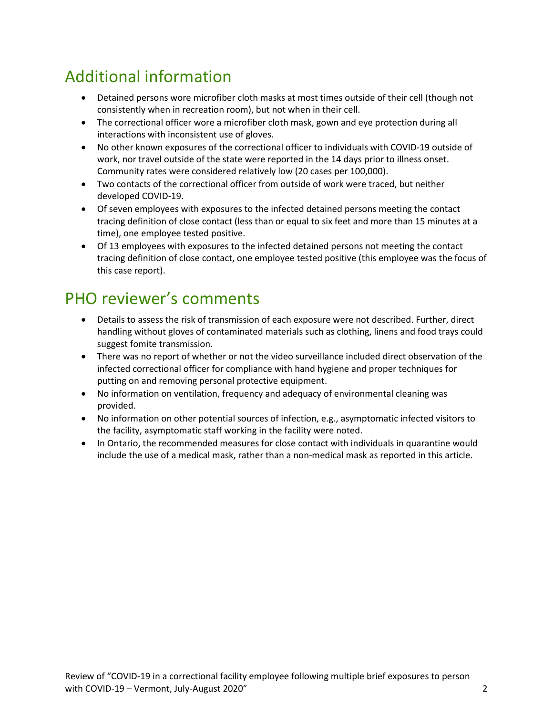## Additional information

- Detained persons wore microfiber cloth masks at most times outside of their cell (though not consistently when in recreation room), but not when in their cell.
- The correctional officer wore a microfiber cloth mask, gown and eye protection during all interactions with inconsistent use of gloves.
- No other known exposures of the correctional officer to individuals with COVID-19 outside of work, nor travel outside of the state were reported in the 14 days prior to illness onset. Community rates were considered relatively low (20 cases per 100,000).
- Two contacts of the correctional officer from outside of work were traced, but neither developed COVID-19.
- Of seven employees with exposures to the infected detained persons meeting the contact tracing definition of close contact (less than or equal to six feet and more than 15 minutes at a time), one employee tested positive.
- Of 13 employees with exposures to the infected detained persons not meeting the contact tracing definition of close contact, one employee tested positive (this employee was the focus of this case report).

#### PHO reviewer's comments

- Details to assess the risk of transmission of each exposure were not described. Further, direct handling without gloves of contaminated materials such as clothing, linens and food trays could suggest fomite transmission.
- There was no report of whether or not the video surveillance included direct observation of the infected correctional officer for compliance with hand hygiene and proper techniques for putting on and removing personal protective equipment.
- No information on ventilation, frequency and adequacy of environmental cleaning was provided.
- No information on other potential sources of infection, e.g., asymptomatic infected visitors to the facility, asymptomatic staff working in the facility were noted.
- In Ontario, the recommended measures for close contact with individuals in quarantine would include the use of a medical mask, rather than a non-medical mask as reported in this article.